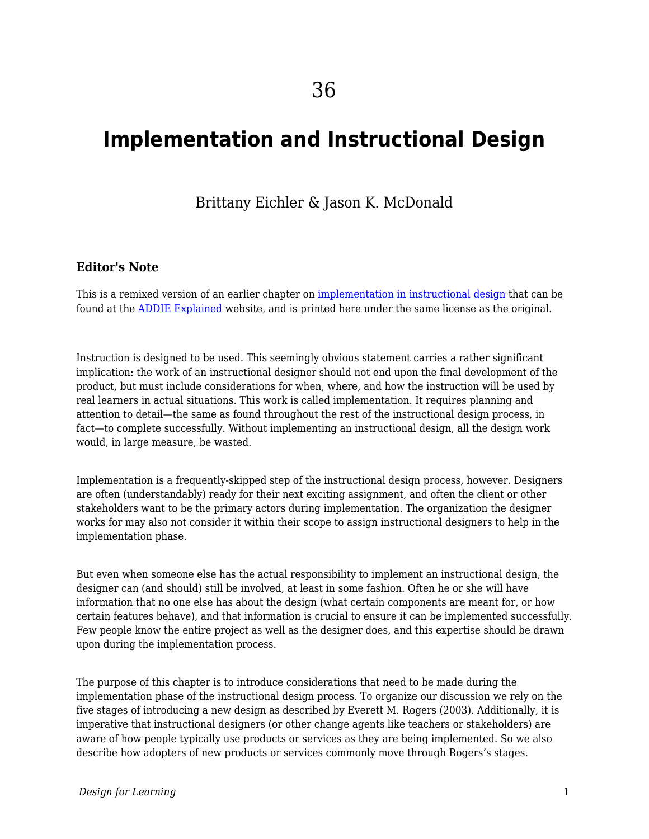# **Implementation and Instructional Design**

### Brittany Eichler & Jason K. McDonald

#### **Editor's Note**

This is a remixed version of an earlier chapter on [implementation in instructional design](http://www.aritzhaupt.com/addie_explained/implementation/) that can be found at the [ADDIE Explained](http://www.aritzhaupt.com/addie_explained/) website, and is printed here under the same license as the original.

Instruction is designed to be used. This seemingly obvious statement carries a rather significant implication: the work of an instructional designer should not end upon the final development of the product, but must include considerations for when, where, and how the instruction will be used by real learners in actual situations. This work is called implementation. It requires planning and attention to detail—the same as found throughout the rest of the instructional design process, in fact—to complete successfully. Without implementing an instructional design, all the design work would, in large measure, be wasted.

Implementation is a frequently-skipped step of the instructional design process, however. Designers are often (understandably) ready for their next exciting assignment, and often the client or other stakeholders want to be the primary actors during implementation. The organization the designer works for may also not consider it within their scope to assign instructional designers to help in the implementation phase.

But even when someone else has the actual responsibility to implement an instructional design, the designer can (and should) still be involved, at least in some fashion. Often he or she will have information that no one else has about the design (what certain components are meant for, or how certain features behave), and that information is crucial to ensure it can be implemented successfully. Few people know the entire project as well as the designer does, and this expertise should be drawn upon during the implementation process.

The purpose of this chapter is to introduce considerations that need to be made during the implementation phase of the instructional design process. To organize our discussion we rely on the five stages of introducing a new design as described by Everett M. Rogers (2003). Additionally, it is imperative that instructional designers (or other change agents like teachers or stakeholders) are aware of how people typically use products or services as they are being implemented. So we also describe how adopters of new products or services commonly move through Rogers's stages.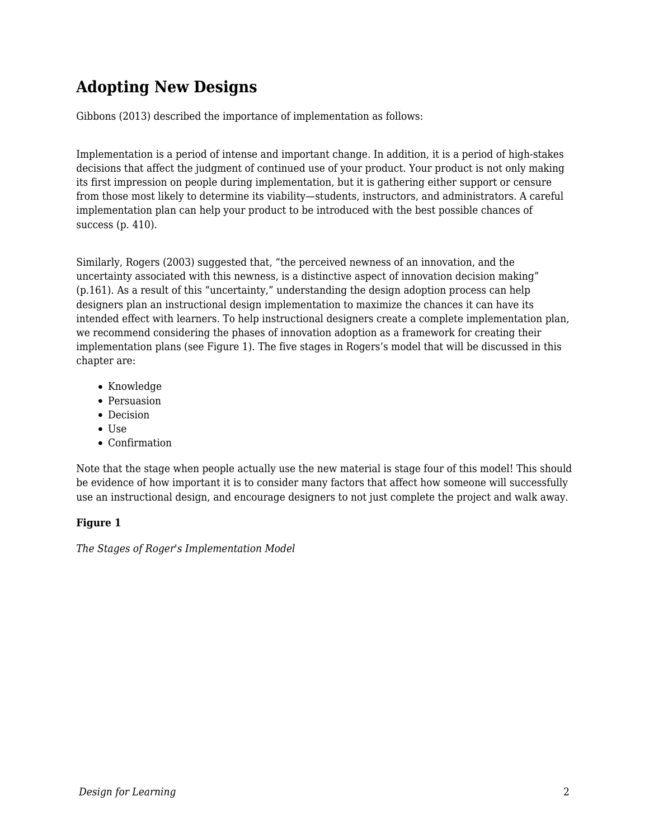## **Adopting New Designs**

Gibbons (2013) described the importance of implementation as follows:

Implementation is a period of intense and important change. In addition, it is a period of high-stakes decisions that affect the judgment of continued use of your product. Your product is not only making its first impression on people during implementation, but it is gathering either support or censure from those most likely to determine its viability—students, instructors, and administrators. A careful implementation plan can help your product to be introduced with the best possible chances of success (p. 410).

Similarly, Rogers (2003) suggested that, "the perceived newness of an innovation, and the uncertainty associated with this newness, is a distinctive aspect of innovation decision making" (p.161). As a result of this "uncertainty," understanding the design adoption process can help designers plan an instructional design implementation to maximize the chances it can have its intended effect with learners. To help instructional designers create a complete implementation plan, we recommend considering the phases of innovation adoption as a framework for creating their implementation plans (see Figure 1). The five stages in Rogers's model that will be discussed in this chapter are:

- Knowledge
- Persuasion
- Decision
- $\bullet$  Use
- Confirmation

Note that the stage when people actually use the new material is stage four of this model! This should be evidence of how important it is to consider many factors that affect how someone will successfully use an instructional design, and encourage designers to not just complete the project and walk away.

#### **Figure 1**

*The Stages of Roger's Implementation Model*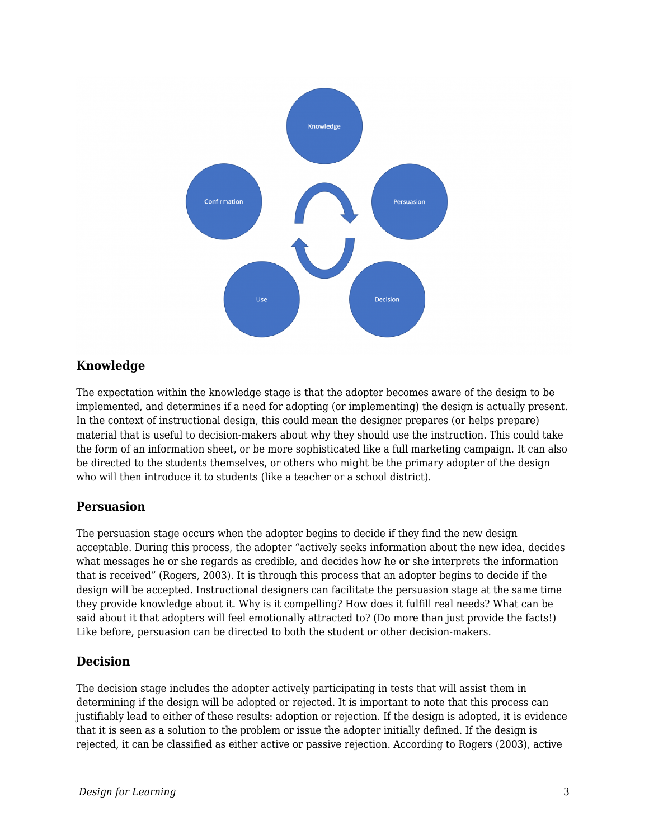

#### **Knowledge**

The expectation within the knowledge stage is that the adopter becomes aware of the design to be implemented, and determines if a need for adopting (or implementing) the design is actually present. In the context of instructional design, this could mean the designer prepares (or helps prepare) material that is useful to decision-makers about why they should use the instruction. This could take the form of an information sheet, or be more sophisticated like a full marketing campaign. It can also be directed to the students themselves, or others who might be the primary adopter of the design who will then introduce it to students (like a teacher or a school district).

#### **Persuasion**

The persuasion stage occurs when the adopter begins to decide if they find the new design acceptable. During this process, the adopter "actively seeks information about the new idea, decides what messages he or she regards as credible, and decides how he or she interprets the information that is received" (Rogers, 2003). It is through this process that an adopter begins to decide if the design will be accepted. Instructional designers can facilitate the persuasion stage at the same time they provide knowledge about it. Why is it compelling? How does it fulfill real needs? What can be said about it that adopters will feel emotionally attracted to? (Do more than just provide the facts!) Like before, persuasion can be directed to both the student or other decision-makers.

#### **Decision**

The decision stage includes the adopter actively participating in tests that will assist them in determining if the design will be adopted or rejected. It is important to note that this process can justifiably lead to either of these results: adoption or rejection. If the design is adopted, it is evidence that it is seen as a solution to the problem or issue the adopter initially defined. If the design is rejected, it can be classified as either active or passive rejection. According to Rogers (2003), active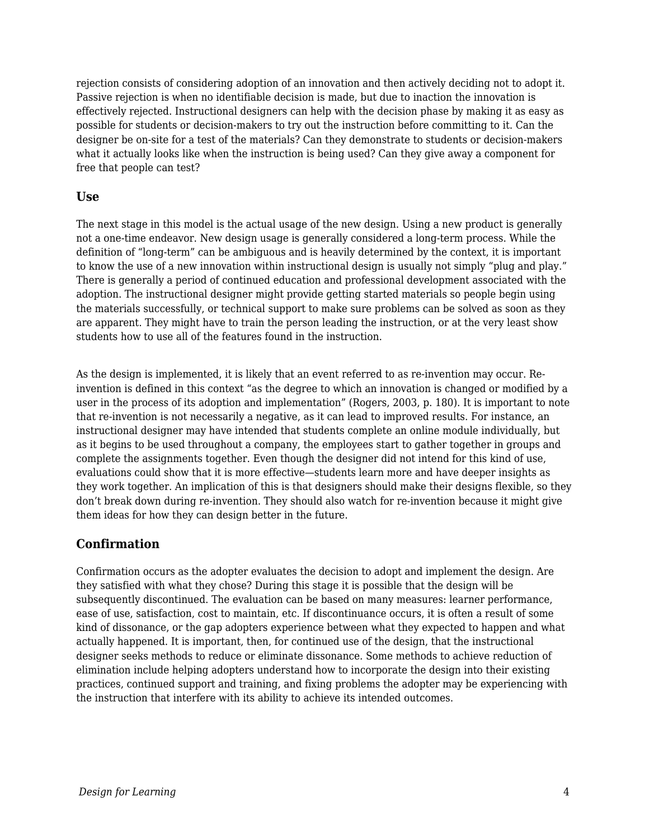rejection consists of considering adoption of an innovation and then actively deciding not to adopt it. Passive rejection is when no identifiable decision is made, but due to inaction the innovation is effectively rejected. Instructional designers can help with the decision phase by making it as easy as possible for students or decision-makers to try out the instruction before committing to it. Can the designer be on-site for a test of the materials? Can they demonstrate to students or decision-makers what it actually looks like when the instruction is being used? Can they give away a component for free that people can test?

#### **Use**

The next stage in this model is the actual usage of the new design. Using a new product is generally not a one-time endeavor. New design usage is generally considered a long-term process. While the definition of "long-term" can be ambiguous and is heavily determined by the context, it is important to know the use of a new innovation within instructional design is usually not simply "plug and play." There is generally a period of continued education and professional development associated with the adoption. The instructional designer might provide getting started materials so people begin using the materials successfully, or technical support to make sure problems can be solved as soon as they are apparent. They might have to train the person leading the instruction, or at the very least show students how to use all of the features found in the instruction.

As the design is implemented, it is likely that an event referred to as re-invention may occur. Reinvention is defined in this context "as the degree to which an innovation is changed or modified by a user in the process of its adoption and implementation" (Rogers, 2003, p. 180). It is important to note that re-invention is not necessarily a negative, as it can lead to improved results. For instance, an instructional designer may have intended that students complete an online module individually, but as it begins to be used throughout a company, the employees start to gather together in groups and complete the assignments together. Even though the designer did not intend for this kind of use, evaluations could show that it is more effective—students learn more and have deeper insights as they work together. An implication of this is that designers should make their designs flexible, so they don't break down during re-invention. They should also watch for re-invention because it might give them ideas for how they can design better in the future.

#### **Confirmation**

Confirmation occurs as the adopter evaluates the decision to adopt and implement the design. Are they satisfied with what they chose? During this stage it is possible that the design will be subsequently discontinued. The evaluation can be based on many measures: learner performance, ease of use, satisfaction, cost to maintain, etc. If discontinuance occurs, it is often a result of some kind of dissonance, or the gap adopters experience between what they expected to happen and what actually happened. It is important, then, for continued use of the design, that the instructional designer seeks methods to reduce or eliminate dissonance. Some methods to achieve reduction of elimination include helping adopters understand how to incorporate the design into their existing practices, continued support and training, and fixing problems the adopter may be experiencing with the instruction that interfere with its ability to achieve its intended outcomes.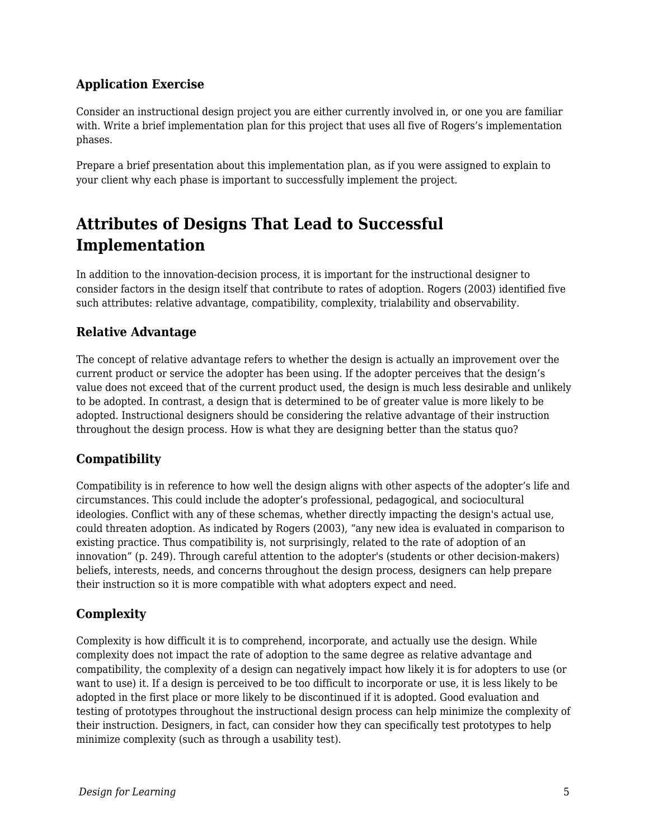### **Application Exercise**

Consider an instructional design project you are either currently involved in, or one you are familiar with. Write a brief implementation plan for this project that uses all five of Rogers's implementation phases.

Prepare a brief presentation about this implementation plan, as if you were assigned to explain to your client why each phase is important to successfully implement the project.

### **Attributes of Designs That Lead to Successful Implementation**

In addition to the innovation-decision process, it is important for the instructional designer to consider factors in the design itself that contribute to rates of adoption. Rogers (2003) identified five such attributes: relative advantage, compatibility, complexity, trialability and observability.

#### **Relative Advantage**

The concept of relative advantage refers to whether the design is actually an improvement over the current product or service the adopter has been using. If the adopter perceives that the design's value does not exceed that of the current product used, the design is much less desirable and unlikely to be adopted. In contrast, a design that is determined to be of greater value is more likely to be adopted. Instructional designers should be considering the relative advantage of their instruction throughout the design process. How is what they are designing better than the status quo?

#### **Compatibility**

Compatibility is in reference to how well the design aligns with other aspects of the adopter's life and circumstances. This could include the adopter's professional, pedagogical, and sociocultural ideologies. Conflict with any of these schemas, whether directly impacting the design's actual use, could threaten adoption. As indicated by Rogers (2003), "any new idea is evaluated in comparison to existing practice. Thus compatibility is, not surprisingly, related to the rate of adoption of an innovation" (p. 249). Through careful attention to the adopter's (students or other decision-makers) beliefs, interests, needs, and concerns throughout the design process, designers can help prepare their instruction so it is more compatible with what adopters expect and need.

#### **Complexity**

Complexity is how difficult it is to comprehend, incorporate, and actually use the design. While complexity does not impact the rate of adoption to the same degree as relative advantage and compatibility, the complexity of a design can negatively impact how likely it is for adopters to use (or want to use) it. If a design is perceived to be too difficult to incorporate or use, it is less likely to be adopted in the first place or more likely to be discontinued if it is adopted. Good evaluation and testing of prototypes throughout the instructional design process can help minimize the complexity of their instruction. Designers, in fact, can consider how they can specifically test prototypes to help minimize complexity (such as through a usability test).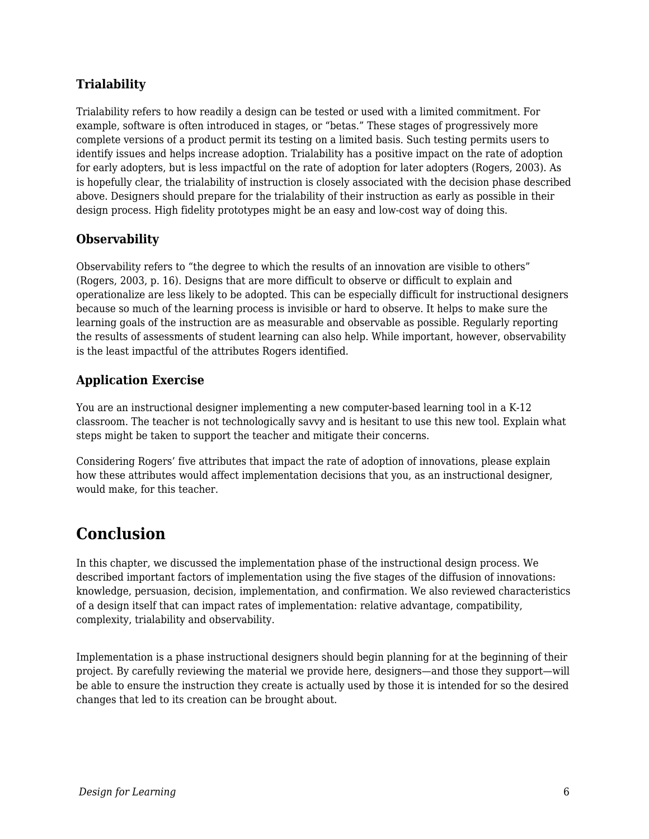### **Trialability**

Trialability refers to how readily a design can be tested or used with a limited commitment. For example, software is often introduced in stages, or "betas." These stages of progressively more complete versions of a product permit its testing on a limited basis. Such testing permits users to identify issues and helps increase adoption. Trialability has a positive impact on the rate of adoption for early adopters, but is less impactful on the rate of adoption for later adopters (Rogers, 2003). As is hopefully clear, the trialability of instruction is closely associated with the decision phase described above. Designers should prepare for the trialability of their instruction as early as possible in their design process. High fidelity prototypes might be an easy and low-cost way of doing this.

#### **Observability**

Observability refers to "the degree to which the results of an innovation are visible to others" (Rogers, 2003, p. 16). Designs that are more difficult to observe or difficult to explain and operationalize are less likely to be adopted. This can be especially difficult for instructional designers because so much of the learning process is invisible or hard to observe. It helps to make sure the learning goals of the instruction are as measurable and observable as possible. Regularly reporting the results of assessments of student learning can also help. While important, however, observability is the least impactful of the attributes Rogers identified.

#### **Application Exercise**

You are an instructional designer implementing a new computer-based learning tool in a K-12 classroom. The teacher is not technologically savvy and is hesitant to use this new tool. Explain what steps might be taken to support the teacher and mitigate their concerns.

Considering Rogers' five attributes that impact the rate of adoption of innovations, please explain how these attributes would affect implementation decisions that you, as an instructional designer, would make, for this teacher.

### **Conclusion**

In this chapter, we discussed the implementation phase of the instructional design process. We described important factors of implementation using the five stages of the diffusion of innovations: knowledge, persuasion, decision, implementation, and confirmation. We also reviewed characteristics of a design itself that can impact rates of implementation: relative advantage, compatibility, complexity, trialability and observability.

Implementation is a phase instructional designers should begin planning for at the beginning of their project. By carefully reviewing the material we provide here, designers—and those they support—will be able to ensure the instruction they create is actually used by those it is intended for so the desired changes that led to its creation can be brought about.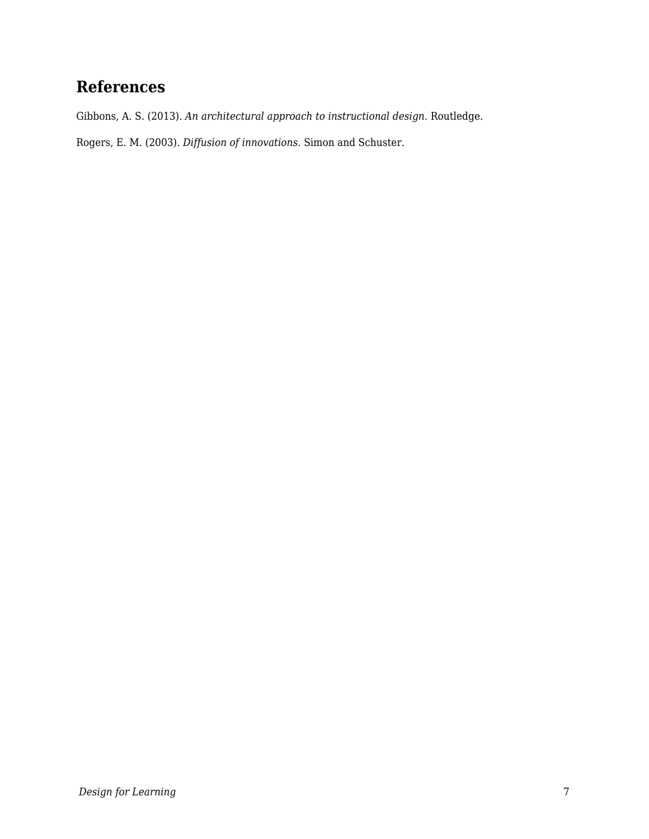## **References**

Gibbons, A. S. (2013). *An architectural approach to instructional design*. Routledge.

Rogers, E. M. (2003). *Diffusion of innovations*. Simon and Schuster.